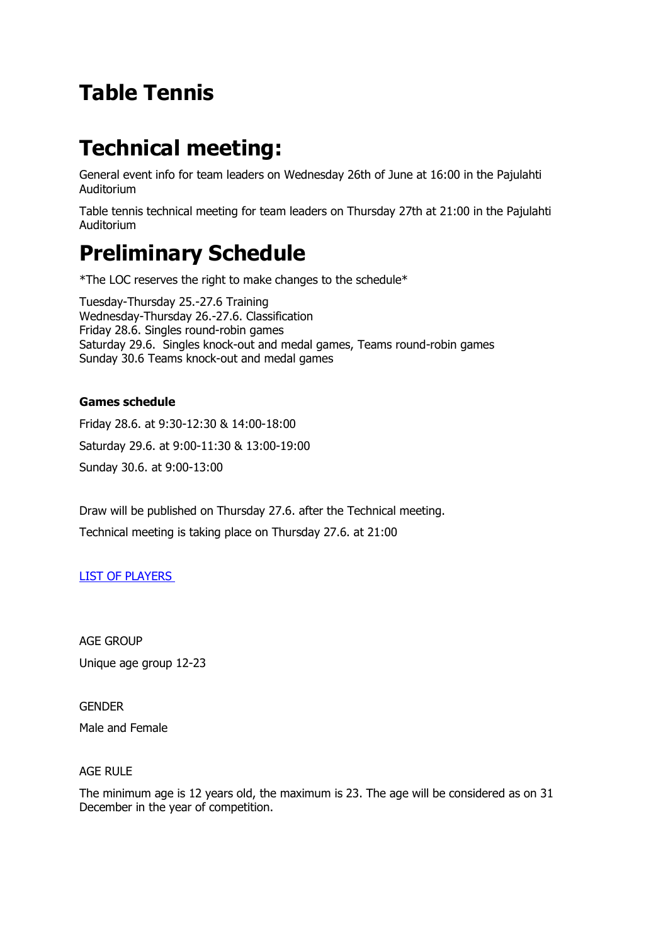# **Table Tennis**

# **Technical meeting:**

General event info for team leaders on Wednesday 26th of June at 16:00 in the Pajulahti Auditorium

Table tennis technical meeting for team leaders on Thursday 27th at 21:00 in the Pajulahti Auditorium

# **Preliminary Schedule**

\*The LOC reserves the right to make changes to the schedule\*

Tuesday-Thursday 25.-27.6 Training Wednesday-Thursday 26.-27.6. Classification Friday 28.6. Singles round-robin games Saturday 29.6. Singles knock-out and medal games, Teams round-robin games Sunday 30.6 Teams knock-out and medal games

## **Games schedule**

Friday 28.6. at 9:30-12:30 & 14:00-18:00 Saturday 29.6. at 9:00-11:30 & 13:00-19:00 Sunday 30.6. at 9:00-13:00

Draw will be published on Thursday 27.6. after the Technical meeting. Technical meeting is taking place on Thursday 27.6. at 21:00

## [LIST OF PLAYERS](http://epyg2019.fi/data/documents/EPYG_TableTennis-List-of-Players.pdf)

AGE GROUP Unique age group 12-23

**GENDER** Male and Female

### AGE RULE

The minimum age is 12 years old, the maximum is 23. The age will be considered as on 31 December in the year of competition.